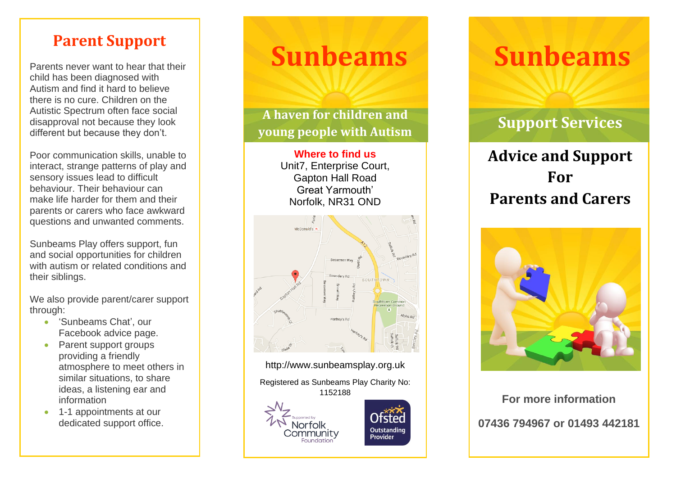# **Parent Support**

Parents never want to hear that their child has been diagnosed with Autism and find it hard to believe there is no cure. Children on the Autistic Spectrum often face social disapproval not because they look different but because they don't.

Poor communication skills, unable to interact, strange patterns of play and sensory issues lead to difficult behaviour. Their behaviour can make life harder for them and their parents or carers who face awkward questions and unwanted comments.

Sunbeams Play offers support, fun and social opportunities for children with autism or related conditions and their siblings.

We also provide parent/carer support through:

- 'Sunbeams Chat', our Facebook advice page.
- Parent support groups providing a friendly atmosphere to meet others in similar situations, to share ideas, a listening ear and information
- 1-1 appointments at our dedicated support office.

# **Sunbeams**

**A haven for children and young people with Autism**

> **Where to find us** Unit7, Enterprise Court, Gapton Hall Road Great Yarmouth' Norfolk, NR31 OND



http://www.sunbeamsplay.org.uk

Registered as Sunbeams Play Charity No:

Outstanding Provider





# **Support Services**

# **Advice and Support For Parents and Carers**



<sup>1152188</sup> **For more information 07436 794967 or 01493 442181**